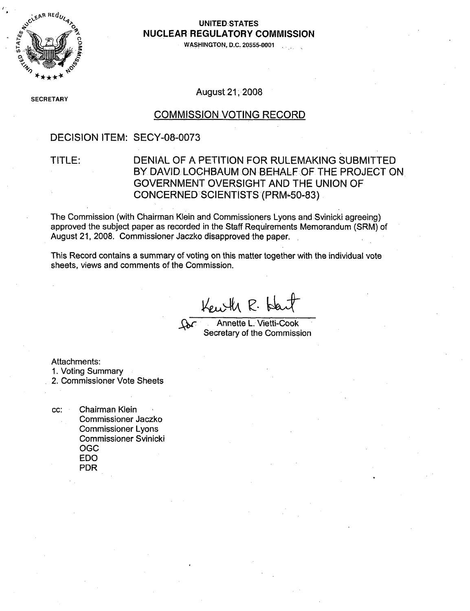

#### **0 UNITED.STATES NUCLEAR** REGULATORY **COMMISSION**

**0•** o **WASHINGTON, D.C. 20555-0001**

SECRETAR**)** 

August-21, 2008

#### COMMISSION VOTING RECORD

### DECISION ITEM: SECY-08-0073

### TITLE: DENIAL OF A PETITION FOR RULEMAKING SUBMITTED BY DAVID LOCHBAUM ON BEHALF OF THE PROJECT ON GOVERNMENT OVERSIGHT AND THE UNION OF CONCERNED SCIENTISTS (PRM-50-83)

The Commission (with Chairman Klein and Commissioners Lyons and Svinicki agreeing) approved the subject paper as recorded in the Staff Requirements Memorandum (SRM) of August 21, 2008. Commissioner Jaczko disapproved the paper.

This Record contains a summary of voting on this matter together with the individual vote sheets, views and comments of the Commission.

Kewth R. Hart

Annette L. Vietti-Cook Secretary of the Commission

Attachments:

1. Voting Summary

2. Commissioner Vote Sheets

cc: Chairman Klein Commissioner Jaczko Commissioner Lyons Commissioner Svinicki **OGC** EDO PDR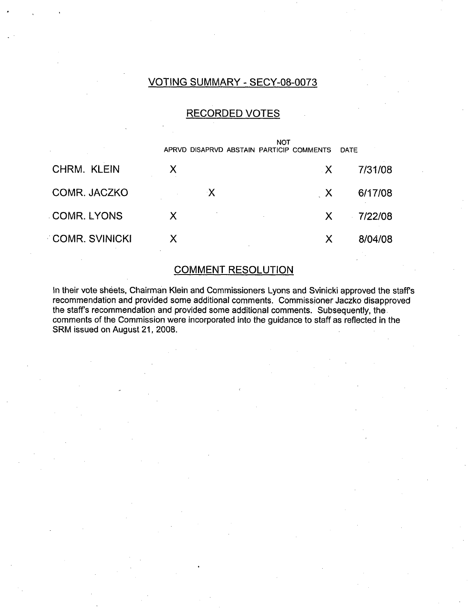## VOTING SUMMARY - SECY-08-0073

### RECORDED VOTES

|                       |   |    | NOT | APRVD DISAPRVD ABSTAIN PARTICIP COMMENTS | DATE |         |
|-----------------------|---|----|-----|------------------------------------------|------|---------|
| CHRM. KLEIN           | X |    |     | X.                                       |      | 7/31/08 |
| COMR. JACZKO          |   | ·X |     | $\mathsf{X}$                             |      | 6/17/08 |
| <b>COMR. LYONS</b>    | X |    |     | X.                                       |      | 7/22/08 |
| <b>COMR. SVINICKI</b> | X |    |     | X                                        |      | 8/04/08 |

### COMMENT RESOLUTION

In their vote sheets, Chairman Klein and Commissioners Lyons and Svinicki approved the staff's recommendation and provided some additional comments. Commissioner Jaczko disapproved the staff's recommendation and provided some additional comments. Subsequently, the comments of the Commission were incorporated into the guidance to staff as reflected in the SRM issued on August 21, 2008.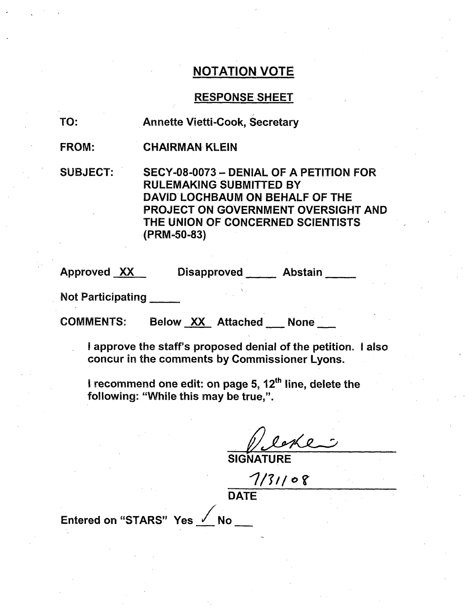### RESPONSE-SHEET

TO: Annette Vietti-Cook, Secretary

FROM: CHAIRMAN KLEIN

SUBJECT: SECY-08-0073 - DENIAL OF A PETITION FOR RULEMAKING SUBMITTED BY DAVID LOCHBAUM ON BEHALF OF THE PROJECT ON GOVERNMENT OVERSIGHT AND THE UNION OF CONCERNED SCIENTISTS (PRM-50-83)

Approved XX Disapproved Abstain

Not Participating

COMMENTS: Below XX Attached None

I approve the staff's proposed denial of the petition. I also concur in the comments by Commissioner Lyons.

I recommend one edit: on page 5, **12th** line, delete the following: "While this may be true,".

**SIGNATURE**

 $7/31/08$ 

**DATE** 

Entered on "STARS" Yes  $\sqrt{N}$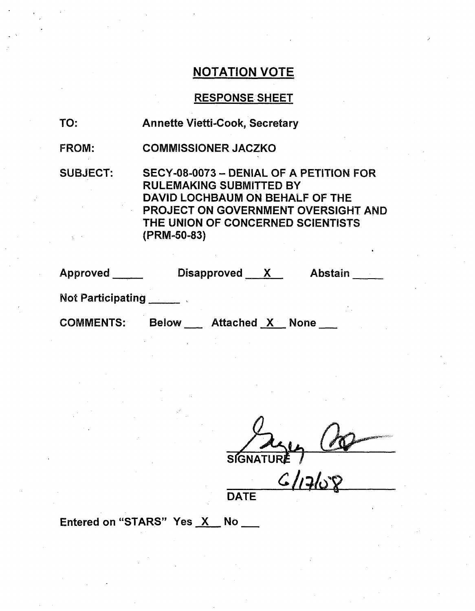## RESPONSE SHEET

| TO: | <b>Annette Vietti-Cook, Secretary</b> |  |
|-----|---------------------------------------|--|
|-----|---------------------------------------|--|

FROM: COMMISSIONER JACZKO

SUBJECT: SECY-08-0073 - DENIAL OF A PETITION FOR RULEMAKING SUBMITTED BY DAVID LOCHBAUM ON BEHALF OF THE PROJECT ON GOVERNMENT OVERSIGHT AND THE UNION OF CONCERNED SCIENTISTS (PRM-50-83)

| Approved                 | <b>Disapproved</b>                     | <b>Abstain</b> |
|--------------------------|----------------------------------------|----------------|
| <b>Not Participating</b> |                                        |                |
| <b>COMMENTS:</b>         | <b>Attached X None</b><br><b>Below</b> |                |

**SIGNATURE** 

*6&L-12,* DATE

Entered on "STARS" Yes X No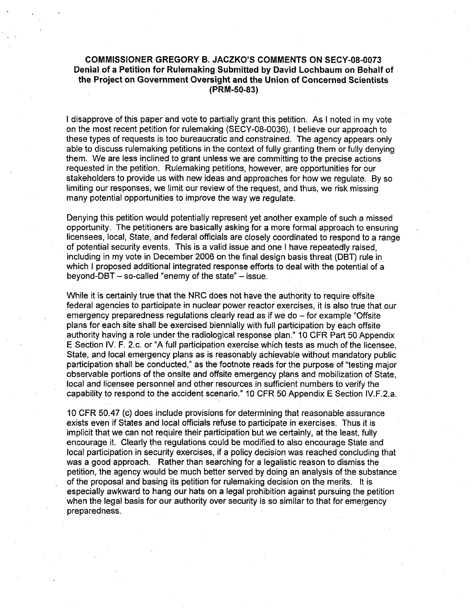#### **COMMISSIONER** GREGORY **B. JACZKO'S COMMENTS ON SECY-08-0073** Denial of a Petition for Rulemaking Submitted **by** David Lochbaum on Behalf of the Project on Government Oversight and the Union of Concerned Scientists (PRM-50-83)

I disapprove of this paper and vote to partially grant this petition. As I noted in my vote on the most recent petition for rulemaking (SECY-08-0036), I believe our approach to these types of requests is too bureaucratic and constrained. The agency appears only able to discuss rulemaking petitions in the context of fully granting them or fully denying them. We are less inclined to grant unless we are committing to the precise actions requested in the petition. Rulemaking petitions, however, are opportunities for our stakeholders to provide us with new ideas and approaches for how we regulate. By so limiting our responses, we limit our review of the request, and thus, we risk missing many potential opportunities to improve the way we regulate.

Denying this petition would potentially represent yet another example of such a missed opportunity. The petitioners are basically asking for a more formal approach to ensuring licensees, local, State, and federal officials are closely coordinated to respond to a range of potential security events. This is a valid issue and one I have repeatedly raised, including in my vote in December 2006 on the final design basis threat (DBT) rule in which I proposed additional integrated response efforts to deal with the potential of a beyond-DBT  $-$  so-called "enemy of the state"  $-$  issue.

While it is certainly true that the NRC does not have the authority to require offsite federal agencies to participate in nuclear power reactor exercises, it is also true that our emergency preparedness regulations clearly read as if we do - for example "Offsite" plans for each site shall be exercised biennially with full participation by each offsite authority having a role under the radiological response plan." 10 CFR Part 50 Appendix E Section IV. F. 2.c. or "A full participation exercise which tests as much of the licensee, State, and local emergency plans as is reasonably achievable without mandatory public participation shall be conducted," as the footnote reads for the purpose of "testing major observable portions of the onsite and offsite emergency plans and mobilization of State, local and licensee personnel and other resources in sufficient numbers to verify the capability to respond to the accident scenario." 10 CFR 50 Appendix E Section IV.F.2.a.

10 CFR 50.47 (c) does include provisions for determining that reasonable assurance exists even if States and local officials refuse to participate in exercises. Thus it is implicit that we can not require their participation but we certainly, at the least, fully encourage it. Clearly the regulations could be modified to also encourage State and local participation in security exercises, if a policy decision was reached concluding that was a good approach. Rather than searching for a legalistic reason to dismiss the petition, the agency would be much better served by doing an analysis of the substance of the proposal and basing its petition for rulemaking decision on the merits. It is especially awkward to hang our hats on a legal prohibition against pursuing the petition when the legal basis for our authority over security is so similar to that for emergency preparedness.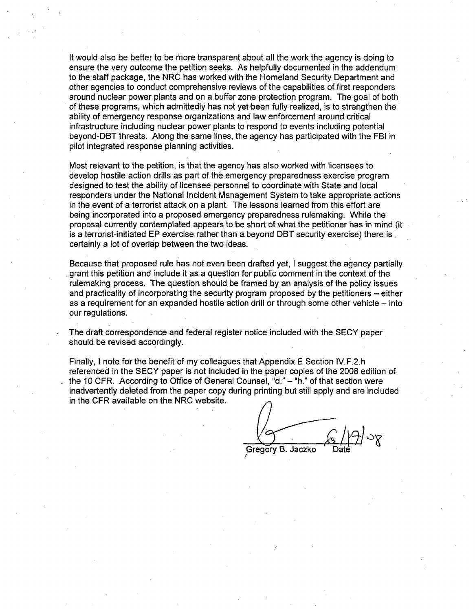It would also be better to be more transparent about all the work the agency is doing to ensure the very outcome the petition seeks. As helpfully documented in the addendum to the staff package, the NRC has worked with the Homeland Security Department and other agencies to conduct comprehensive reviews of the capabilities of first responders around nuclear power plants and on a buffer zone protection program. The goal of both of these programs, which admittedly has not yet been fully realized, is to strengthen the ability of emergency response organizations and law enforcement around critical infrastructure including nuclear power plants to respond to events including potential beyond-DBT threats. Along the same lines, the agency has participated with the FBI in pilot integrated response planning activities.

Most relevant to the petition, is that the agency has also worked with licensees to develop hostile action drills as part of the emergency preparedness exercise program designed to test the ability of licensee personnel to coordinate with State and local responders under the National Incident Management System to take appropriate actions in the event of a terrorist attack on a plant. The lessons learned from this effort are being incorporated into a proposed emergency preparedness rulemaking. While the proposal currently contemplated appears to be short of what the petitioner has in mind (it is a terrorist-initiated EP exercise rather than a beyond DBT security exercise) there is certainly a lot of overlap between the two ideas.

Because that proposed rule has not even been drafted yet, I suggest the agency partially grant this petition and include it as a question for public comment in the context of the rulemaking process. The question should be framed by an analysis of the policy issues and practicality of incorporating the security program proposed by the petitioners – either as a requirement for an expanded hostile action drill or through some other vehicle – into our regulations.

The draft correspondence and federal register notice included with the SECY paper should be revised accordingly.

Finally, I note for the benefit of my colleagues that Appendix E Section IV.F.2.h referenced in the SECY paper is not included in the paper copies of the 2008 edition of the 10 CFR. According to Office of General Counsel, "d." - "h." of that section were inadvertently deleted from the paper copy during printing but still apply and are included in the CFR available on the NRC website.

Gregory B. Jaczko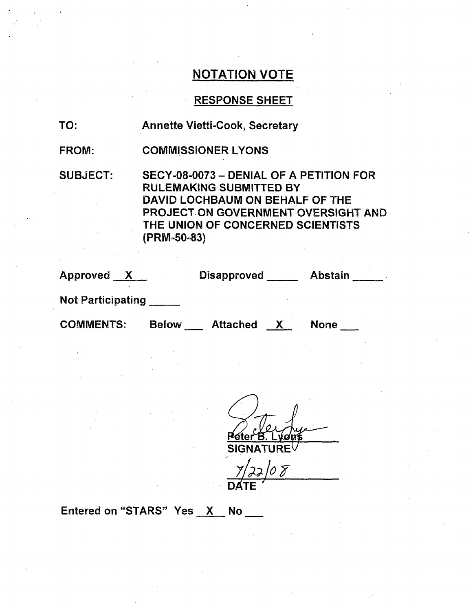## RESPONSE SHEET

FROM: COMMISSIONER LYONS

SUBJECT: SECY-08-0073 - DENIAL OF A PETITION FOR RULEMAKING SUBMITTED BY DAVID LOCHBAUM ON BEHALF OF THE PROJECT ON GOVERNMENT OVERSIGHT AND THE UNION OF CONCERNED SCIENTISTS (PRM-50-83)

Approved X Disapproved Abstain

Not Participating

COMMENTS: Below Attached **x** None

10 F **DATE**

## Entered on "STARS" Yes X No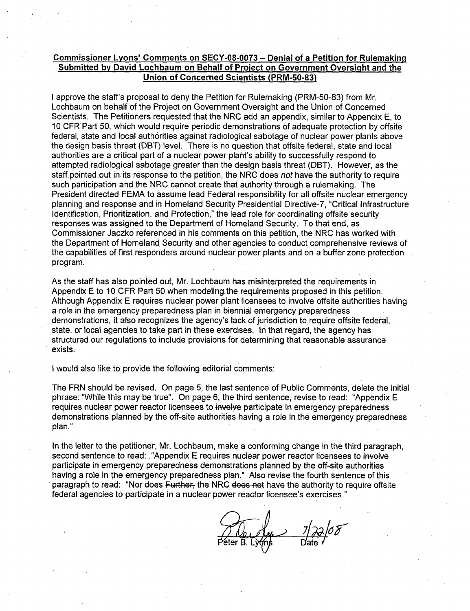#### Commissioner Lyons' Comments on **SECY-08-0073** - Denial of a Petition for Rulemaking Submitted by David Lochbaum on Behalf of Project on Government Oversight and the Union of Concerned Scientists (PRM-50-83)

I approve the staff's proposal to deny the Petition for Rulemaking (PRM-50-83) from Mr. Lochbaum on behalf of the Project on Government Oversight and the Union of Concerned Scientists. The Petitioners requested that the NRC add an appendix, similar to Appendix E, to 10 CFR Part 50, which would require periodic demonstrations of adequate protection by offsite federal, state and local authorities against radiological sabotage of nuclear power plants above the design basis threat (DBT) level. There is no question that offsite federal, state and local authorities are a critical part of a nuclear power plant's ability to successfully respond to attempted radiological sabotage greater than the design basis threat (DBT). However, as the staff. pointed out in its response to the petition, the NRC does *not* have the authority to require such participation and the NRC cannot create that authority through a rulemaking. The President directed FEMA to assume lead Federal responsibility for all offsite nuclear emergency planning and response and in Homeland Security Presidential Directive-7, "Critical Infrastructure Identification, Prioritization, and Protection," the lead role for coordinating offsite security responses was assigned to the Department of Homeland Security. To that end, as Commissioner Jaczko referenced in his comments on this petition, the NRC has worked with the Department of Homeland Security and other agencies to conduct comprehensive reviews of the capabilities of first responders around nuclear power plants and on a buffer zone protection program.

As the staff has also pointed out, Mr. Lochbaum has misinterpreted the requirements in Appendix E to 10 CFR Part 50 when modeling the requirements proposed in this petition. Although Appendix E requires nuclear power plant licensees to involve offsite authorities having a role in the emergency preparedness plan in biennial emergency preparedness demonstrations, it also recognizes the agency's lack of jurisdiction to require offsite federal, state, or local agencies to take part in these exercises. In that regard, the agency has structured our regulations to include provisions for determining that reasonable assurance exists.

I would also like to provide the following editorial comments:

The FRN should be revised. On page 5, the last sentence of Public Comments, delete the initial phrase: "While this may be true". On page 6, the third sentence, revise to read: "Appendix E requires nuclear power reactor licensees to involve participate in emergency preparedness demonstrations planned by the off-site authorities having a role in the emergency preparedness plan."

In the letter to the petitioner, Mr. Lochbaum, make a conforming change in the third paragraph, second sentence to read: "Appendix E requires nuclear power reactor licensees to involve participate in emergency preparedness demonstrations planned by the off-site authorities having a role in the emergency preparedness plan." Also revise the fourth sentence of this paragraph to read: "Nor does Further, the NRC does not have the authority to require offsite federal agencies to participate in a nuclear power reactor licensee's exercises."

eter B. Lyons Date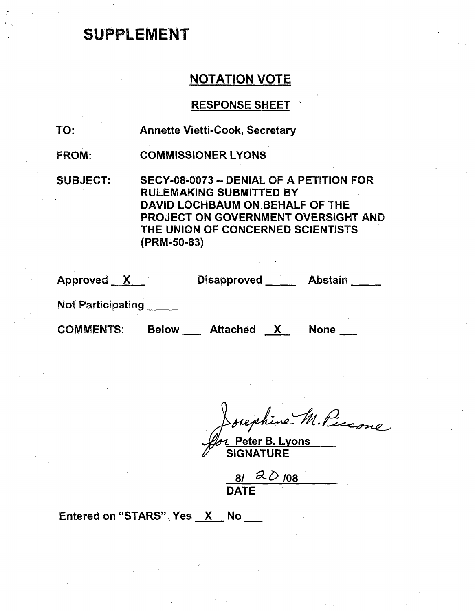# **SUPPLEMENT**

## **NOTATION VOTE**

## RESPONSE SHEET

| TO:             | <b>Annette Vietti-Cook, Secretary</b>                                                                                                                                                                   |
|-----------------|---------------------------------------------------------------------------------------------------------------------------------------------------------------------------------------------------------|
| <b>FROM:</b>    | <b>COMMISSIONER LYONS</b>                                                                                                                                                                               |
| <b>SUBJECT:</b> | SECY-08-0073 - DENIAL OF A PETITION FOR<br><b>RULEMAKING SUBMITTED BY</b><br>DAVID LOCHBAUM ON BEHALF OF THE<br>PROJECT ON GOVERNMENT OVERSIGHT AND<br>THE UNION OF CONCERNED SCIENTISTS<br>(PRM-50-83) |

| Approved X | <b>Disapproved</b> | <b>Abstain</b> |
|------------|--------------------|----------------|
| .          |                    |                |

Not Participating **\_**

COMMENTS: Below \_\_ Attached X None \_\_

Bephine M. Piccone

SIGNATURE

81 20 108 DATE

Entered on "STARS" Yes X No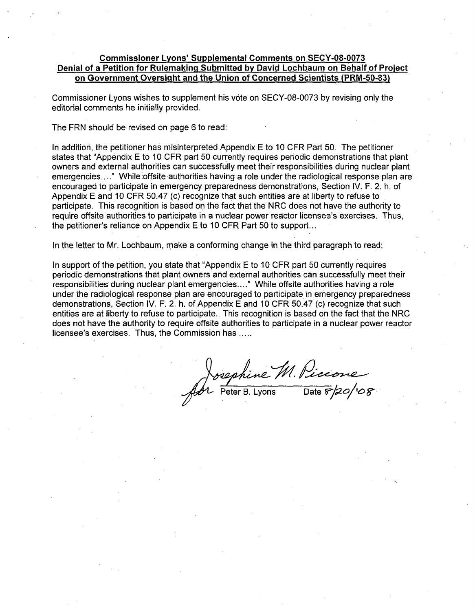#### Commissioner Lyons' Supplemental Comments on **SECY-08-0073** Denial of a Petition for Rulemaking Submitted by David Lochbaum on Behalf of Project on Government Oversight and the Union of Concerned Scientists (PRM-50-83)

Commissioner Lyons wishes to supplement his vote on SECY-08-0073 by revising only the editorial comments he initially provided.

The FRN should be revised on page 6 to read:

In addition, the petitioner has misinterpreted Appendix E to 10 CFR Part 50. The petitioner states that "Appendix E to 10 CFR part 50 currently requires periodic demonstrations that plant owners and external authorities can successfully meet their responsibilities during nuclear plant emergencies...." While offsite authorities having a role under the radiological response plan are. encouraged to participate in emergency preparedness demonstrations, Section IV. F. 2. h. of Appendix E and 10 CFR 50.47 (c) recognize that such entities are at liberty to refuse to participate. This recognition is based on the fact that the NRC does not have the authority to require offsite authorities to participate in a nuclear power reactor licensee's exercises. Thus, the petitioner's reliance on Appendix E to 10 CFR Part 50 to support...

In the letter to Mr. Lochbaum, make a conforming change in the third paragraph to read:

In support of the petition, you state that "Appendix E to 10 CFR part 50 currently requires periodic demonstrations that plant owners and external authorities can successfully meet their responsibilities during nuclear plant emergencies...." While offsite authorities having a role under the radiological response plan are encouraged to participate in emergency preparedness demonstrations, Section IV. F. 2. h. of Appendix E and 10 CFR 50.47 (c) recognize that such entities are at liberty to refuse to participate.. This recognition is based on the fact that the NRC does not have the authority to require offsite authorities to participate in a nuclear power reactor licensee's exercises. Thus, the Commission has **.....**

sephine M. Piccone<br>Peter B. Lyons Date F/20/108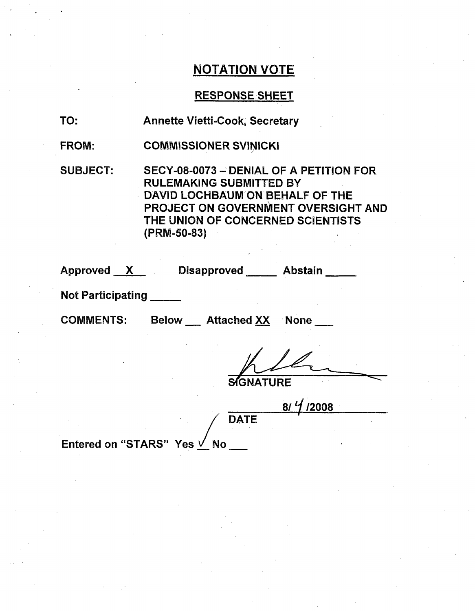## RESPONSE SHEET

| <b>Annette Vietti-Cook, Secretary</b> |
|---------------------------------------|
|                                       |

FROM: COMMISSIONER SVINICKI

SUBJECT: SECY-08-0073 **-** DENIAL OF A PETITION FOR RULEMAKING SUBMITTED BY DAVID LOCHBAUM ON BEHALF OF THE PROJECT ON GOVERNMENT OVERSIGHT AND THE UNION OF CONCERNED SCIENTISTS (PRM-50-83)

| Approved          | <b>Disapproved</b> | Abstain |
|-------------------|--------------------|---------|
| Nat Dartininating |                    |         |

Not Participating

COMMENTS: Below Attached XX

None

**SI'GNATURE**

**8/j/2008 DATE** 

Entered on "STARS" Yes  $\sqrt{N}$